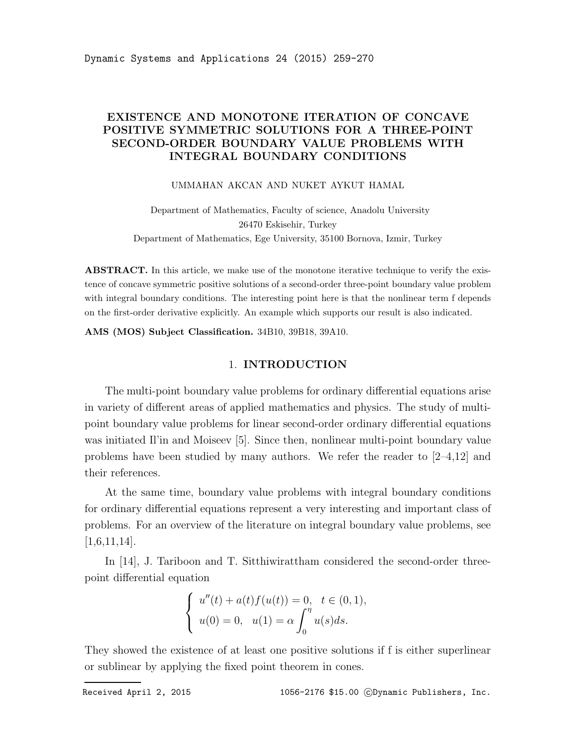## EXISTENCE AND MONOTONE ITERATION OF CONCAVE POSITIVE SYMMETRIC SOLUTIONS FOR A THREE-POINT SECOND-ORDER BOUNDARY VALUE PROBLEMS WITH INTEGRAL BOUNDARY CONDITIONS

UMMAHAN AKCAN AND NUKET AYKUT HAMAL

Department of Mathematics, Faculty of science, Anadolu University 26470 Eskisehir, Turkey Department of Mathematics, Ege University, 35100 Bornova, Izmir, Turkey

ABSTRACT. In this article, we make use of the monotone iterative technique to verify the existence of concave symmetric positive solutions of a second-order three-point boundary value problem with integral boundary conditions. The interesting point here is that the nonlinear term f depends on the first-order derivative explicitly. An example which supports our result is also indicated.

AMS (MOS) Subject Classification. 34B10, 39B18, 39A10.

### 1. INTRODUCTION

The multi-point boundary value problems for ordinary differential equations arise in variety of different areas of applied mathematics and physics. The study of multipoint boundary value problems for linear second-order ordinary differential equations was initiated Il'in and Moiseev [5]. Since then, nonlinear multi-point boundary value problems have been studied by many authors. We refer the reader to [2–4,12] and their references.

At the same time, boundary value problems with integral boundary conditions for ordinary differential equations represent a very interesting and important class of problems. For an overview of the literature on integral boundary value problems, see  $[1,6,11,14]$ .

In [14], J. Tariboon and T. Sitthiwirattham considered the second-order threepoint differential equation

$$
\begin{cases}\n u''(t) + a(t)f(u(t)) = 0, & t \in (0, 1), \\
 u(0) = 0, & u(1) = \alpha \int_0^{\eta} u(s)ds.\n\end{cases}
$$

They showed the existence of at least one positive solutions if f is either superlinear or sublinear by applying the fixed point theorem in cones.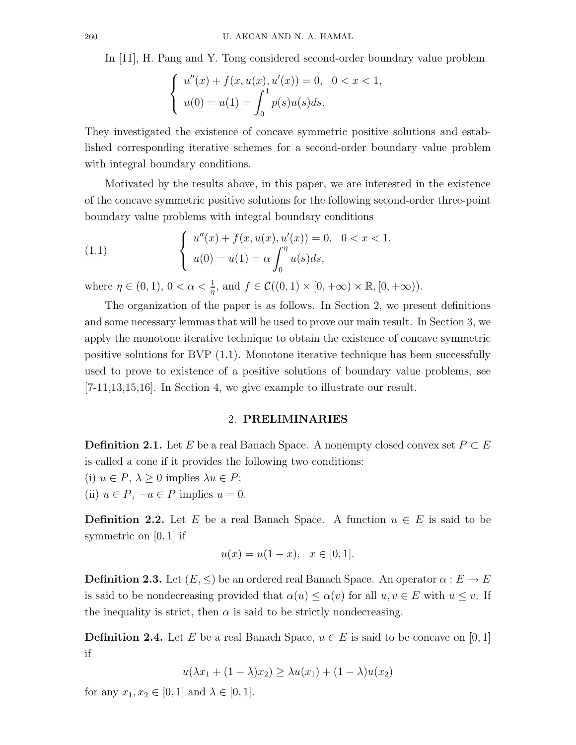In [11], H. Pang and Y. Tong considered second-order boundary value problem

$$
\begin{cases}\n u''(x) + f(x, u(x), u'(x)) = 0, & 0 < x < 1, \\
 u(0) = u(1) = \int_0^1 p(s)u(s)ds.\n\end{cases}
$$

They investigated the existence of concave symmetric positive solutions and established corresponding iterative schemes for a second-order boundary value problem with integral boundary conditions.

Motivated by the results above, in this paper, we are interested in the existence of the concave symmetric positive solutions for the following second-order three-point boundary value problems with integral boundary conditions

(1.1) 
$$
\begin{cases} u''(x) + f(x, u(x), u'(x)) = 0, & 0 < x < 1, \\ u(0) = u(1) = \alpha \int_0^{\eta} u(s) ds, \end{cases}
$$

where  $\eta \in (0,1)$ ,  $0 < \alpha < \frac{1}{\eta}$ , and  $f \in \mathcal{C}((0,1) \times [0,+\infty) \times \mathbb{R}, [0,+\infty))$ .

The organization of the paper is as follows. In Section 2, we present definitions and some necessary lemmas that will be used to prove our main result. In Section 3, we apply the monotone iterative technique to obtain the existence of concave symmetric positive solutions for BVP (1.1). Monotone iterative technique has been successfully used to prove to existence of a positive solutions of boundary value problems, see [7-11,13,15,16]. In Section 4, we give example to illustrate our result.

### 2. PRELIMINARIES

**Definition 2.1.** Let E be a real Banach Space. A nonempty closed convex set  $P \subset E$ is called a cone if it provides the following two conditions:

(i)  $u \in P$ ,  $\lambda \geq 0$  implies  $\lambda u \in P$ ;

(ii)  $u \in P$ ,  $-u \in P$  implies  $u = 0$ .

**Definition 2.2.** Let E be a real Banach Space. A function  $u \in E$  is said to be symmetric on  $[0, 1]$  if

$$
u(x) = u(1 - x), \quad x \in [0, 1].
$$

**Definition 2.3.** Let  $(E, \leq)$  be an ordered real Banach Space. An operator  $\alpha : E \to E$ is said to be nondecreasing provided that  $\alpha(u) \leq \alpha(v)$  for all  $u, v \in E$  with  $u \leq v$ . If the inequality is strict, then  $\alpha$  is said to be strictly nondecreasing.

**Definition 2.4.** Let E be a real Banach Space,  $u \in E$  is said to be concave on [0, 1] if

$$
u(\lambda x_1 + (1 - \lambda)x_2) \ge \lambda u(x_1) + (1 - \lambda)u(x_2)
$$

for any  $x_1, x_2 \in [0, 1]$  and  $\lambda \in [0, 1]$ .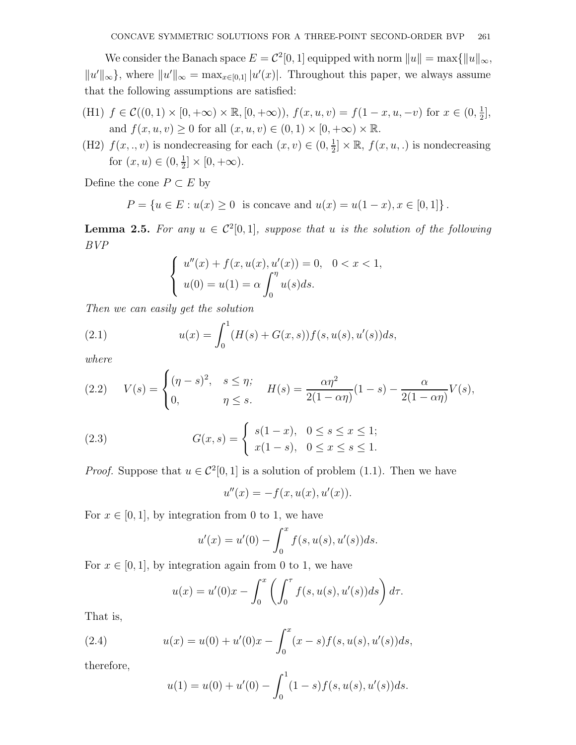We consider the Banach space  $E = C^2[0, 1]$  equipped with norm  $||u|| = \max{||u||_{\infty}}$ ,  $||u'||_{\infty}$ , where  $||u'||_{\infty} = \max_{x \in [0,1]} |u'(x)|$ . Throughout this paper, we always assume that the following assumptions are satisfied:

- (H1)  $f \in \mathcal{C}((0,1) \times [0,+\infty) \times \mathbb{R}, [0,+\infty))$ ,  $f(x,u,v) = f(1-x,u,-v)$  for  $x \in (0, \frac{1}{2})$  $\frac{1}{2}$ , and  $f(x, u, v) \ge 0$  for all  $(x, u, v) \in (0, 1) \times [0, +\infty) \times \mathbb{R}$ .
- (H2)  $f(x, \ldots, v)$  is nondecreasing for each  $(x, v) \in (0, \frac{1}{2})$  $\frac{1}{2} \times \mathbb{R}$ ,  $f(x, u, .)$  is nondecreasing for  $(x, u) \in (0, \frac{1}{2})$  $\frac{1}{2}]\times [0,+\infty).$

Define the cone  $P \subset E$  by

$$
P = \{ u \in E : u(x) \ge 0 \text{ is concave and } u(x) = u(1-x), x \in [0,1] \}.
$$

**Lemma 2.5.** For any  $u \in C^2[0,1]$ , suppose that u is the solution of the following BVP

$$
\begin{cases}\n u''(x) + f(x, u(x), u'(x)) = 0, & 0 < x < 1, \\
 u(0) = u(1) = \alpha \int_0^{\eta} u(s)ds.\n\end{cases}
$$

Then we can easily get the solution

(2.1) 
$$
u(x) = \int_0^1 (H(s) + G(x, s)) f(s, u(s), u'(s)) ds,
$$

where

(2.2) 
$$
V(s) = \begin{cases} (\eta - s)^2, & s \le \eta; \\ 0, & \eta \le s. \end{cases} \quad H(s) = \frac{\alpha \eta^2}{2(1 - \alpha \eta)} (1 - s) - \frac{\alpha}{2(1 - \alpha \eta)} V(s),
$$

(2.3) 
$$
G(x,s) = \begin{cases} s(1-x), & 0 \le s \le x \le 1; \\ x(1-s), & 0 \le x \le s \le 1. \end{cases}
$$

*Proof.* Suppose that  $u \in C^2[0, 1]$  is a solution of problem (1.1). Then we have

$$
u''(x) = -f(x, u(x), u'(x)).
$$

For  $x \in [0, 1]$ , by integration from 0 to 1, we have

$$
u'(x) = u'(0) - \int_0^x f(s, u(s), u'(s))ds.
$$

For  $x \in [0, 1]$ , by integration again from 0 to 1, we have

$$
u(x) = u'(0)x - \int_0^x \left(\int_0^\tau f(s, u(s), u'(s))ds\right) d\tau.
$$

That is,

(2.4) 
$$
u(x) = u(0) + u'(0)x - \int_0^x (x - s)f(s, u(s), u'(s))ds,
$$

therefore,

$$
u(1) = u(0) + u'(0) - \int_0^1 (1 - s) f(s, u(s), u'(s)) ds.
$$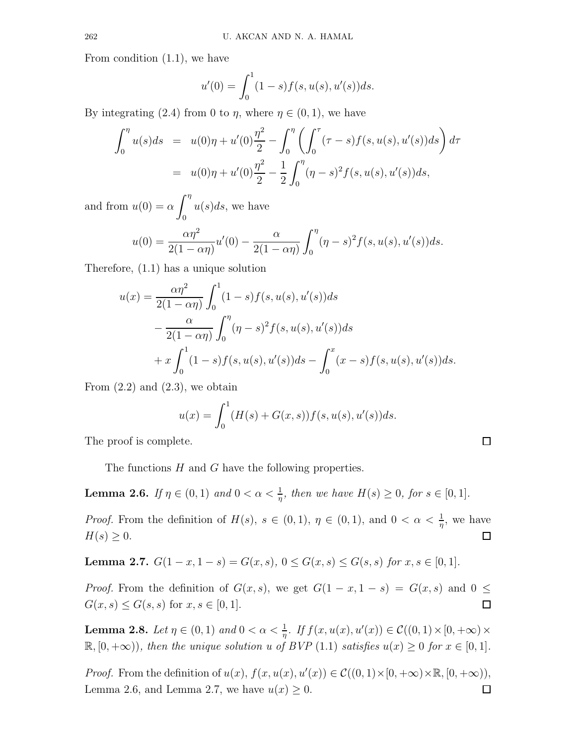From condition (1.1), we have

$$
u'(0) = \int_0^1 (1-s)f(s, u(s), u'(s))ds.
$$

By integrating (2.4) from 0 to  $\eta$ , where  $\eta \in (0,1)$ , we have

$$
\int_0^{\eta} u(s)ds = u(0)\eta + u'(0)\frac{\eta^2}{2} - \int_0^{\eta} \left(\int_0^{\tau} (\tau - s)f(s, u(s), u'(s))ds\right) d\tau
$$
  
=  $u(0)\eta + u'(0)\frac{\eta^2}{2} - \frac{1}{2}\int_0^{\eta} (\eta - s)^2 f(s, u(s), u'(s))ds,$ 

and from  $u(0) = \alpha \int_0^{\eta}$ 0  $u(s)ds$ , we have

$$
u(0) = \frac{\alpha \eta^2}{2(1 - \alpha \eta)} u'(0) - \frac{\alpha}{2(1 - \alpha \eta)} \int_0^{\eta} (\eta - s)^2 f(s, u(s), u'(s)) ds.
$$

Therefore, (1.1) has a unique solution

$$
u(x) = \frac{\alpha \eta^2}{2(1 - \alpha \eta)} \int_0^1 (1 - s) f(s, u(s), u'(s)) ds
$$
  
 
$$
- \frac{\alpha}{2(1 - \alpha \eta)} \int_0^{\eta} (\eta - s)^2 f(s, u(s), u'(s)) ds
$$
  
 
$$
+ x \int_0^1 (1 - s) f(s, u(s), u'(s)) ds - \int_0^x (x - s) f(s, u(s), u'(s)) ds.
$$

From  $(2.2)$  and  $(2.3)$ , we obtain

$$
u(x) = \int_0^1 (H(s) + G(x, s)) f(s, u(s), u'(s)) ds.
$$

 $\Box$ 

The proof is complete.

The functions H and G have the following properties.

**Lemma 2.6.** If  $\eta \in (0,1)$  and  $0 < \alpha < \frac{1}{\eta}$ , then we have  $H(s) \ge 0$ , for  $s \in [0,1]$ .

*Proof.* From the definition of  $H(s)$ ,  $s \in (0,1)$ ,  $\eta \in (0,1)$ , and  $0 < \alpha < \frac{1}{\eta}$ , we have  $H(s) \geq 0.$  $\Box$ 

Lemma 2.7.  $G(1-x, 1-s) = G(x, s), 0 \le G(x, s) \le G(s, s)$  for  $x, s \in [0, 1]$ .

*Proof.* From the definition of  $G(x, s)$ , we get  $G(1 - x, 1 - s) = G(x, s)$  and  $0 \le$  $G(x, s) \le G(s, s)$  for  $x, s \in [0, 1]$ .  $\Box$ 

**Lemma 2.8.** Let  $\eta \in (0,1)$  and  $0 < \alpha < \frac{1}{\eta}$ . If  $f(x, u(x), u'(x)) \in C((0,1) \times [0, +\infty) \times$  $\mathbb{R}, [0, +\infty)$ , then the unique solution u of BVP (1.1) satisfies  $u(x) \geq 0$  for  $x \in [0, 1]$ .

*Proof.* From the definition of  $u(x)$ ,  $f(x, u(x), u'(x)) \in C((0, 1) \times [0, +\infty) \times \mathbb{R}, [0, +\infty))$ , Lemma 2.6, and Lemma 2.7, we have  $u(x) \geq 0$ . □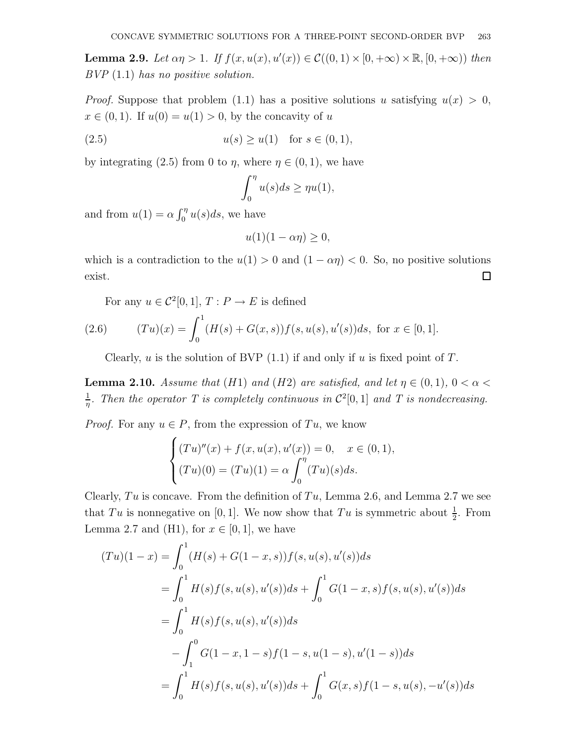**Lemma 2.9.** Let  $\alpha \eta > 1$ . If  $f(x, u(x), u'(x)) \in C((0, 1) \times [0, +\infty) \times \mathbb{R}, [0, +\infty))$  then BVP (1.1) has no positive solution.

*Proof.* Suppose that problem (1.1) has a positive solutions u satisfying  $u(x) > 0$ ,  $x \in (0, 1)$ . If  $u(0) = u(1) > 0$ , by the concavity of u

(2.5) 
$$
u(s) \ge u(1)
$$
 for  $s \in (0, 1)$ ,

by integrating (2.5) from 0 to  $\eta$ , where  $\eta \in (0,1)$ , we have

$$
\int_0^{\eta} u(s)ds \geq \eta u(1),
$$

and from  $u(1) = \alpha \int_0^{\eta} u(s) ds$ , we have

$$
u(1)(1 - \alpha \eta) \ge 0,
$$

which is a contradiction to the  $u(1) > 0$  and  $(1 - \alpha \eta) < 0$ . So, no positive solutions  $\Box$ exist.

For any  $u \in C^2[0,1], T : P \to E$  is defined (2.6)  $(T u)(x) = \int_0^1$ 0  $(H(s) + G(x, s))f(s, u(s), u'(s))ds$ , for  $x \in [0, 1]$ .

Clearly,  $u$  is the solution of BVP  $(1.1)$  if and only if  $u$  is fixed point of  $T$ .

**Lemma 2.10.** Assume that (H1) and (H2) are satisfied, and let  $\eta \in (0,1)$ ,  $0 < \alpha <$ 1  $\frac{1}{\eta}$ . Then the operator T is completely continuous in  $\mathcal{C}^2[0,1]$  and T is nondecreasing.

*Proof.* For any  $u \in P$ , from the expression of  $Tu$ , we know

$$
\begin{cases}\n(Tu)''(x) + f(x, u(x), u'(x)) = 0, & x \in (0, 1), \\
(Tu)(0) = (Tu)(1) = \alpha \int_0^{\eta} (Tu)(s)ds.\n\end{cases}
$$

Clearly,  $Tu$  is concave. From the definition of  $Tu$ , Lemma 2.6, and Lemma 2.7 we see that Tu is nonnegative on [0, 1]. We now show that Tu is symmetric about  $\frac{1}{2}$ . From Lemma 2.7 and (H1), for  $x \in [0, 1]$ , we have

$$
(Tu)(1-x) = \int_0^1 (H(s) + G(1-x, s))f(s, u(s), u'(s))ds
$$
  
= 
$$
\int_0^1 H(s)f(s, u(s), u'(s))ds + \int_0^1 G(1-x, s)f(s, u(s), u'(s))ds
$$
  
= 
$$
\int_0^1 H(s)f(s, u(s), u'(s))ds
$$
  
= 
$$
\int_1^0 G(1-x, 1-s)f(1-s, u(1-s), u'(1-s))ds
$$
  
= 
$$
\int_0^1 H(s)f(s, u(s), u'(s))ds + \int_0^1 G(x, s)f(1-s, u(s), -u'(s))ds
$$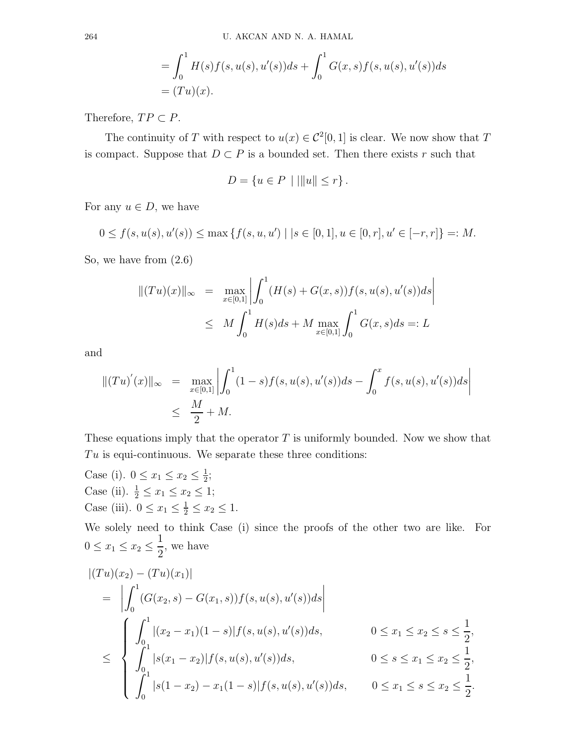$$
= \int_0^1 H(s)f(s, u(s), u'(s))ds + \int_0^1 G(x, s)f(s, u(s), u'(s))ds
$$
  
=  $(Tu)(x)$ .

Therefore,  $TP \subset P$ .

The continuity of T with respect to  $u(x) \in C^2[0,1]$  is clear. We now show that T is compact. Suppose that  $D \subset P$  is a bounded set. Then there exists r such that

$$
D = \{ u \in P \mid |||u|| \le r \}.
$$

For any  $u \in D$ , we have

 $0 \le f(s, u(s), u'(s)) \le \max \{f(s, u, u') \mid | s \in [0, 1], u \in [0, r], u' \in [-r, r] \} =: M.$ 

So, we have from (2.6)

$$
||(Tu)(x)||_{\infty} = \max_{x \in [0,1]} \left| \int_0^1 (H(s) + G(x, s)) f(s, u(s), u'(s)) ds \right|
$$
  
 
$$
\leq M \int_0^1 H(s) ds + M \max_{x \in [0,1]} \int_0^1 G(x, s) ds =: L
$$

and

$$
||(Tu)'(x)||_{\infty} = \max_{x \in [0,1]} \left| \int_0^1 (1-s)f(s, u(s), u'(s))ds - \int_0^x f(s, u(s), u'(s))ds \right|
$$
  

$$
\leq \frac{M}{2} + M.
$$

These equations imply that the operator  $T$  is uniformly bounded. Now we show that  $Tu$  is equi-continuous. We separate these three conditions:

Case (i).  $0 \le x_1 \le x_2 \le \frac{1}{2}$  $\frac{1}{2}$ ; Case (ii).  $\frac{1}{2} \le x_1 \le x_2 \le 1$ ; Case (iii).  $0 \le x_1 \le \frac{1}{2} \le x_2 \le 1$ .

We solely need to think Case (i) since the proofs of the other two are like. For  $0 \le x_1 \le x_2 \le \frac{1}{2}$ 2 , we have

$$
\begin{aligned}\n|(Tu)(x_2) - (Tu)(x_1)| \\
&= \left| \int_0^1 (G(x_2, s) - G(x_1, s)) f(s, u(s), u'(s)) ds \right| \\
&\leq \left\{ \begin{aligned}\n\int_0^1 |(x_2 - x_1)(1 - s)| f(s, u(s), u'(s)) ds, & 0 \leq x_1 \leq x_2 \leq s \leq \frac{1}{2}, \\
\int_0^1 |s(x_1 - x_2)| f(s, u(s), u'(s)) ds, & 0 \leq s \leq x_1 \leq x_2 \leq \frac{1}{2}, \\
\int_0^1 |s(1 - x_2) - x_1(1 - s)| f(s, u(s), u'(s)) ds, & 0 \leq x_1 \leq s \leq x_2 \leq \frac{1}{2}.\n\end{aligned}\right\}.
$$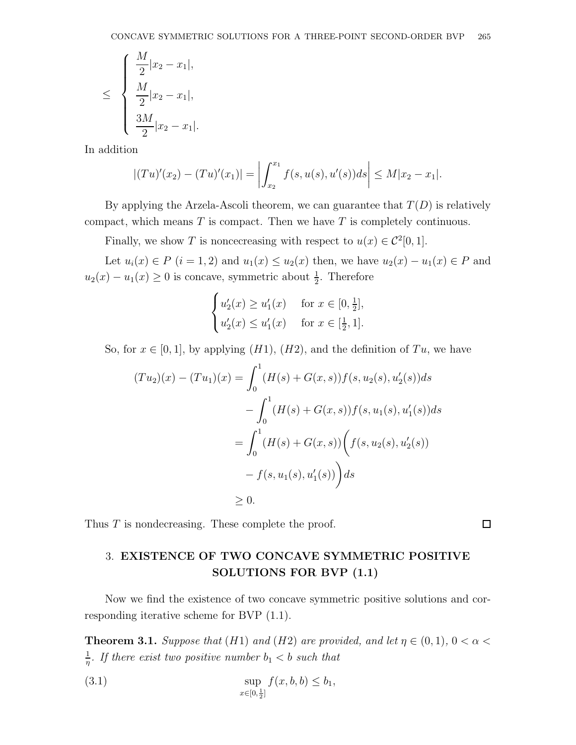$$
\leq \begin{cases} \frac{M}{2}|x_2 - x_1|, \\ \frac{M}{2}|x_2 - x_1|, \\ \frac{3M}{2}|x_2 - x_1|. \end{cases}
$$

In addition

$$
|(Tu)'(x_2) - (Tu)'(x_1)| = \left| \int_{x_2}^{x_1} f(s, u(s), u'(s)) ds \right| \le M|x_2 - x_1|.
$$

By applying the Arzela-Ascoli theorem, we can guarantee that  $T(D)$  is relatively compact, which means  $T$  is compact. Then we have  $T$  is completely continuous.

Finally, we show T is noncecreasing with respect to  $u(x) \in C^2[0,1]$ .

Let  $u_i(x) \in P$   $(i = 1, 2)$  and  $u_1(x) \le u_2(x)$  then, we have  $u_2(x) - u_1(x) \in P$  and  $u_2(x) - u_1(x) \ge 0$  is concave, symmetric about  $\frac{1}{2}$ . Therefore

$$
\begin{cases} u_2'(x) \ge u_1'(x) & \text{for } x \in [0, \frac{1}{2}], \\ u_2'(x) \le u_1'(x) & \text{for } x \in [\frac{1}{2}, 1]. \end{cases}
$$

So, for  $x \in [0, 1]$ , by applying  $(H1)$ ,  $(H2)$ , and the definition of  $Tu$ , we have

$$
(Tu_2)(x) - (Tu_1)(x) = \int_0^1 (H(s) + G(x, s)) f(s, u_2(s), u'_2(s)) ds
$$
  

$$
- \int_0^1 (H(s) + G(x, s)) f(s, u_1(s), u'_1(s)) ds
$$
  

$$
= \int_0^1 (H(s) + G(x, s)) \left( f(s, u_2(s), u'_2(s)) - f(s, u_1(s), u'_1(s)) \right) ds
$$
  

$$
\ge 0.
$$

Thus T is nondecreasing. These complete the proof.

# 3. EXISTENCE OF TWO CONCAVE SYMMETRIC POSITIVE SOLUTIONS FOR BVP (1.1)

Now we find the existence of two concave symmetric positive solutions and corresponding iterative scheme for BVP (1.1).

**Theorem 3.1.** Suppose that (H1) and (H2) are provided, and let  $\eta \in (0,1)$ ,  $0 < \alpha <$ 1  $\frac{1}{\eta}$ . If there exist two positive number  $b_1 < b$  such that

(3.1) 
$$
\sup_{x \in [0, \frac{1}{2}]} f(x, b, b) \le b_1,
$$

 $\Box$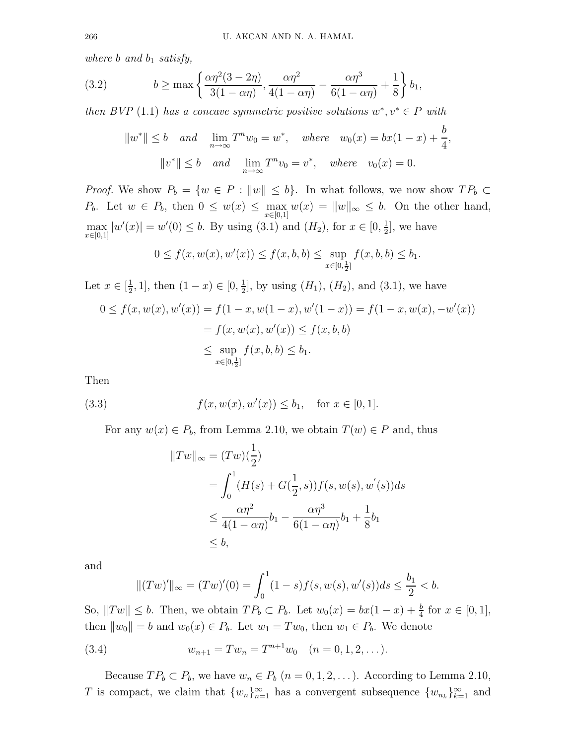where  $b$  and  $b_1$  satisfy,

(3.2) 
$$
b \ge \max\left\{\frac{\alpha\eta^2(3-2\eta)}{3(1-\alpha\eta)}, \frac{\alpha\eta^2}{4(1-\alpha\eta)} - \frac{\alpha\eta^3}{6(1-\alpha\eta)} + \frac{1}{8}\right\}b_1,
$$

then BVP (1.1) has a concave symmetric positive solutions  $w^*, v^* \in P$  with

$$
||w^*|| \le b
$$
 and  $\lim_{n \to \infty} T^n w_0 = w^*$ , where  $w_0(x) = bx(1 - x) + \frac{b}{4}$ ,  
\n $||v^*|| \le b$  and  $\lim_{n \to \infty} T^n v_0 = v^*$ , where  $v_0(x) = 0$ .

*Proof.* We show  $P_b = \{w \in P : ||w|| \leq b\}$ . In what follows, we now show  $TP_b \subset$  $P_b$ . Let  $w \in P_b$ , then  $0 \leq w(x) \leq \max_{x \in [0,1]} w(x) = ||w||_{\infty} \leq b$ . On the other hand,  $\max_{x \in [0,1]} |w'(x)| = w'(0) \leq b$ . By using (3.1) and  $(H_2)$ , for  $x \in [0, \frac{1}{2}]$  $\frac{1}{2}$ , we have

$$
0 \le f(x, w(x), w'(x)) \le f(x, b, b) \le \sup_{x \in [0, \frac{1}{2}]} f(x, b, b) \le b_1.
$$

Let  $x \in \left[\frac{1}{2}\right]$  $(\frac{1}{2}, 1]$ , then  $(1 - x) \in [0, \frac{1}{2}]$  $\frac{1}{2}$ , by using  $(H_1)$ ,  $(H_2)$ , and  $(3.1)$ , we have

$$
0 \le f(x, w(x), w'(x)) = f(1 - x, w(1 - x), w'(1 - x)) = f(1 - x, w(x), -w'(x))
$$
  
=  $f(x, w(x), w'(x)) \le f(x, b, b)$   
 $\le \sup_{x \in [0, \frac{1}{2}]} f(x, b, b) \le b_1.$ 

Then

(3.3) 
$$
f(x, w(x), w'(x)) \le b_1
$$
, for  $x \in [0, 1]$ .

For any  $w(x) \in P_b$ , from Lemma 2.10, we obtain  $T(w) \in P$  and, thus

$$
||Tw||_{\infty} = (Tw)(\frac{1}{2})
$$
  
=  $\int_0^1 (H(s) + G(\frac{1}{2}, s)) f(s, w(s), w'(s)) ds$   
 $\leq \frac{\alpha \eta^2}{4(1 - \alpha \eta)} b_1 - \frac{\alpha \eta^3}{6(1 - \alpha \eta)} b_1 + \frac{1}{8} b_1$   
 $\leq b,$ 

and

$$
||(Tw)'||_{\infty} = (Tw)'(0) = \int_0^1 (1-s)f(s, w(s), w'(s))ds \le \frac{b_1}{2} < b.
$$

So,  $||Tw|| \leq b$ . Then, we obtain  $TP_b \subset P_b$ . Let  $w_0(x) = bx(1-x) + \frac{b}{4}$  for  $x \in [0,1]$ , then  $||w_0|| = b$  and  $w_0(x) \in P_b$ . Let  $w_1 = Tw_0$ , then  $w_1 \in P_b$ . We denote

(3.4) 
$$
w_{n+1} = Tw_n = T^{n+1}w_0 \quad (n = 0, 1, 2, ...).
$$

Because  $TP_b \subset P_b$ , we have  $w_n \in P_b$   $(n = 0, 1, 2, ...)$ . According to Lemma 2.10, T is compact, we claim that  $\{w_n\}_{n=1}^{\infty}$  has a convergent subsequence  $\{w_{n_k}\}_{k=1}^{\infty}$  and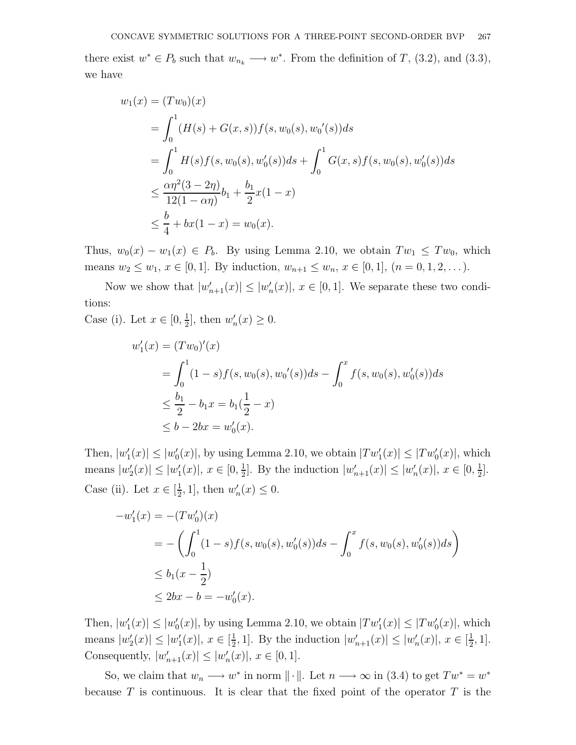there exist  $w^* \in P_b$  such that  $w_{n_k} \longrightarrow w^*$ . From the definition of T, (3.2), and (3.3), we have

$$
w_1(x) = (Tw_0)(x)
$$
  
=  $\int_0^1 (H(s) + G(x, s)) f(s, w_0(s), w_0'(s)) ds$   
=  $\int_0^1 H(s) f(s, w_0(s), w_0'(s)) ds + \int_0^1 G(x, s) f(s, w_0(s), w_0'(s)) ds$   
 $\leq \frac{\alpha \eta^2 (3 - 2\eta)}{12(1 - \alpha \eta)} b_1 + \frac{b_1}{2} x (1 - x)$   
 $\leq \frac{b}{4} + bx(1 - x) = w_0(x).$ 

Thus,  $w_0(x) - w_1(x) \in P_b$ . By using Lemma 2.10, we obtain  $Tw_1 \leq Tw_0$ , which means  $w_2 \leq w_1, x \in [0,1]$ . By induction,  $w_{n+1} \leq w_n, x \in [0,1]$ ,  $(n = 0, 1, 2, ...)$ .

Now we show that  $|w'_{n+1}(x)| \leq |w'_{n+1}(x)|$  $_n'(x)$ ,  $x \in [0,1]$ . We separate these two conditions:

Case (i). Let  $x \in [0, \frac{1}{2}]$  $\frac{1}{2}$ , then  $w'_r$  $n'(x) \geq 0.$ 

$$
w'_1(x) = (Tw_0)'(x)
$$
  
=  $\int_0^1 (1-s)f(s, w_0(s), w'_0(s))ds - \int_0^x f(s, w_0(s), w'_0(s))ds$   
 $\leq \frac{b_1}{2} - b_1x = b_1(\frac{1}{2} - x)$   
 $\leq b - 2bx = w'_0(x).$ 

Then,  $|w_1|$  $|u_1'(x)| \leq |w'_0|$  $|Tw_1'(x)|$ , by using Lemma 2.10, we obtain  $|Tw_1'(x)| \leq |Tw_0'(x)|$ , which means  $|w'_2\rangle$  $|u_2'(x)| \leq |w_1'|$  $x_1'(x)$ ,  $x \in [0, \frac{1}{2}]$  $\frac{1}{2}$ . By the induction  $|w'_{n+1}(x)| \leq |w'_{n+1}(x)|$  $n(x)|, x \in [0, \frac{1}{2}]$  $\frac{1}{2}$ . Case (ii). Let  $x \in \left[\frac{1}{2}\right]$  $\frac{1}{2}$ , 1], then  $w'_i$  $n'(x) \leq 0.$ 

$$
-w'_1(x) = -(Tw'_0)(x)
$$
  
=  $-(\int_0^1 (1-s)f(s, w_0(s), w'_0(s))ds - \int_0^x f(s, w_0(s), w'_0(s))ds)$   
 $\leq b_1(x - \frac{1}{2})$   
 $\leq 2bx - b = -w'_0(x).$ 

Then,  $|w_1|$  $|u_1'(x)| \leq |w'_0|$  $|Tw_1'(x)|$ , by using Lemma 2.10, we obtain  $|Tw_1'(x)| \leq |Tw_0'(x)|$ , which means  $|w'_2\rangle$  $|u_2'(x)| \leq |w_1'|$  $x_1'(x)$ ,  $x \in \left[\frac{1}{2}\right]$  $\frac{1}{2}$ , 1]. By the induction  $|w'_{n+1}(x)| \leq |w'_{n+1}(x)|$  $'_{n}(x)|, x \in [\frac{1}{2}]$  $\frac{1}{2}$ , 1]. Consequently,  $|w'_{n+1}(x)| \leq |w'_{n+1}(x)|$  $'_{n}(x)|, x \in [0,1].$ 

So, we claim that  $w_n \longrightarrow w^*$  in norm  $\|\cdot\|$ . Let  $n \longrightarrow \infty$  in (3.4) to get  $Tw^* = w^*$ because T is continuous. It is clear that the fixed point of the operator T is the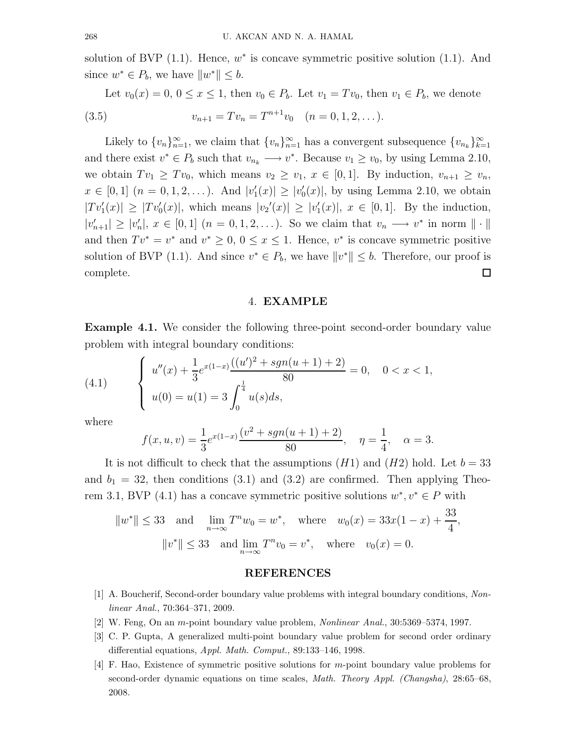solution of BVP  $(1.1)$ . Hence,  $w^*$  is concave symmetric positive solution  $(1.1)$ . And since  $w^* \in P_b$ , we have  $||w^*|| \leq b$ .

Let  $v_0(x) = 0, 0 \le x \le 1$ , then  $v_0 \in P_b$ . Let  $v_1 = Tv_0$ , then  $v_1 \in P_b$ , we denote (3.5)  $v_{n+1} = Tv_n = T^{n+1}v_0 \quad (n = 0, 1, 2, \dots).$ 

Likely to  ${v_n}_{n=1}^{\infty}$ , we claim that  ${v_n}_{n=1}^{\infty}$  has a convergent subsequence  ${v_{n_k}}_{k=1}^{\infty}$  $_{k=1}$ and there exist  $v^* \in P_b$  such that  $v_{n_k} \longrightarrow v^*$ . Because  $v_1 \ge v_0$ , by using Lemma 2.10, we obtain  $Tv_1 \geq Tv_0$ , which means  $v_2 \geq v_1, x \in [0,1]$ . By induction,  $v_{n+1} \geq v_n$ ,  $x \in [0,1]$   $(n = 0,1,2,...)$ . And  $|v_1|$  $|f_1(x)| \geq |v'_0|$  $\binom{1}{0}(x)$ , by using Lemma 2.10, we obtain  $|Tv'_{1}(x)| \geq |Tv'_{0}(x)|$ , which means  $|v_{2}'(x)| \geq |v'_{1}|$  $'_{1}(x)|, x \in [0,1].$  By the induction,  $|v'_{n+1}| \geq |v'_{n}|$  $x_n$ ,  $x \in [0,1]$   $(n = 0,1,2,...)$ . So we claim that  $v_n \longrightarrow v^*$  in norm  $\|\cdot\|$ . and then  $Tv^* = v^*$  and  $v^* \geq 0$ ,  $0 \leq x \leq 1$ . Hence,  $v^*$  is concave symmetric positive solution of BVP (1.1). And since  $v^* \in P_b$ , we have  $||v^*|| \leq b$ . Therefore, our proof is complete.  $\Box$ 

### 4. EXAMPLE

Example 4.1. We consider the following three-point second-order boundary value problem with integral boundary conditions:

(4.1) 
$$
\begin{cases} u''(x) + \frac{1}{3}e^{x(1-x)}\frac{((u')^2 + sgn(u+1) + 2)}{80} = 0, & 0 < x < 1, \\ u(0) = u(1) = 3 \int_0^{\frac{1}{4}} u(s)ds, \end{cases}
$$

where

$$
f(x, u, v) = \frac{1}{3}e^{x(1-x)}\frac{(v^2 + sgn(u+1) + 2)}{80}, \quad \eta = \frac{1}{4}, \quad \alpha = 3.
$$

It is not difficult to check that the assumptions  $(H1)$  and  $(H2)$  hold. Let  $b = 33$ and  $b_1 = 32$ , then conditions (3.1) and (3.2) are confirmed. Then applying Theorem 3.1, BVP (4.1) has a concave symmetric positive solutions  $w^*, v^* \in P$  with

$$
||w^*|| \le 33
$$
 and  $\lim_{n \to \infty} T^n w_0 = w^*$ , where  $w_0(x) = 33x(1 - x) + \frac{33}{4}$ ,  
\n $||v^*|| \le 33$  and  $\lim_{n \to \infty} T^n v_0 = v^*$ , where  $v_0(x) = 0$ .

#### REFERENCES

- [1] A. Boucherif, Second-order boundary value problems with integral boundary conditions, Nonlinear Anal., 70:364–371, 2009.
- [2] W. Feng, On an m-point boundary value problem, Nonlinear Anal., 30:5369–5374, 1997.
- [3] C. P. Gupta, A generalized multi-point boundary value problem for second order ordinary differential equations, Appl. Math. Comput., 89:133-146, 1998.
- [4] F. Hao, Existence of symmetric positive solutions for m-point boundary value problems for second-order dynamic equations on time scales, Math. Theory Appl. (Changsha), 28:65–68, 2008.